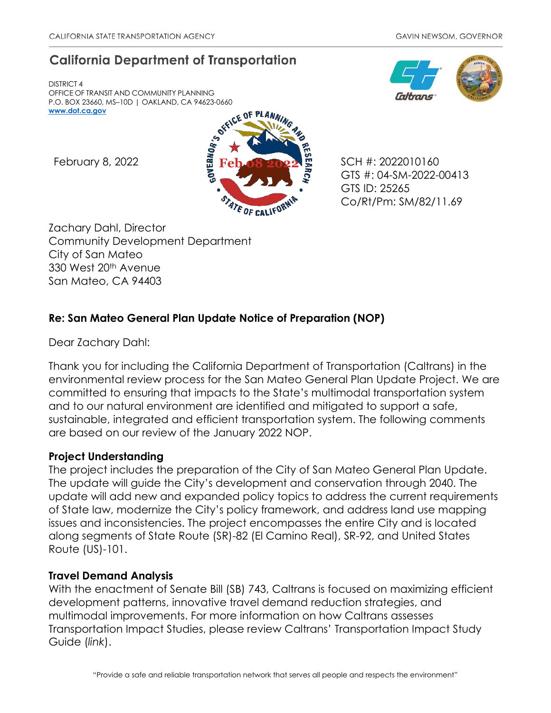# **California Department of Transportation**

DISTRICT 4 OFFICE OF TRANSIT AND COMMUNITY PLANNING P.O. BOX 23660, MS–10D | OAKLAND, CA 94623-0660 **[www.dot.ca.gov](http://www.dot.ca.gov/)**





GTS #: 04-SM-2022-00413 GTS ID: 25265 Co/Rt/Pm: SM/82/11.69

Zachary Dahl, Director Community Development Department City of San Mateo 330 West 20th Avenue San Mateo, CA 94403

## **Re: San Mateo General Plan Update Notice of Preparation (NOP)**

Dear Zachary Dahl:

Thank you for including the California Department of Transportation (Caltrans) in the environmental review process for the San Mateo General Plan Update Project. We are committed to ensuring that impacts to the State's multimodal transportation system and to our natural environment are identified and mitigated to support a safe, sustainable, integrated and efficient transportation system. The following comments are based on our review of the January 2022 NOP.

## **Project Understanding**

The project includes the preparation of the City of San Mateo General Plan Update. The update will guide the City's development and conservation through 2040. The update will add new and expanded policy topics to address the current requirements of State law, modernize the City's policy framework, and address land use mapping issues and inconsistencies. The project encompasses the entire City and is located along segments of State Route (SR)-82 (El Camino Real), SR-92, and United States Route (US)-101.

## **Travel Demand Analysis**

With the enactment of Senate Bill (SB) 743, Caltrans is focused on maximizing efficient development patterns, innovative travel demand reduction strategies, and multimodal improvements. For more information on how Caltrans assesses Transportation Impact Studies, please review Caltrans' [Transportation Impact Study](https://dot.ca.gov/-/media/dot-media/programs/transportation-planning/documents/sb-743/2020-05-20-approved-vmt-focused-tisg-a11y.pdf)  [Guide \(](https://dot.ca.gov/-/media/dot-media/programs/transportation-planning/documents/sb-743/2020-05-20-approved-vmt-focused-tisg-a11y.pdf)*[link](https://dot.ca.gov/-/media/dot-media/programs/transportation-planning/documents/sb-743/2020-05-20-approved-vmt-focused-tisg-a11y.pdf)*[\).](https://dot.ca.gov/-/media/dot-media/programs/transportation-planning/documents/sb-743/2020-05-20-approved-vmt-focused-tisg-a11y.pdf)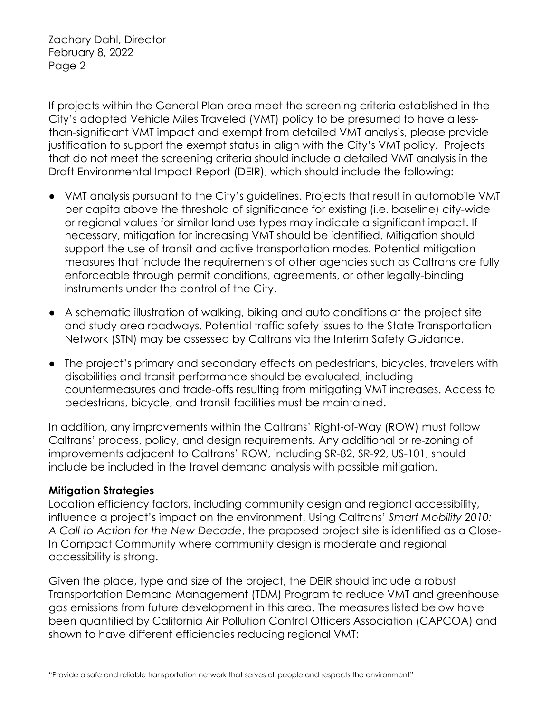If projects within the General Plan area meet the screening criteria established in the City's adopted Vehicle Miles Traveled (VMT) policy to be presumed to have a lessthan-significant VMT impact and exempt from detailed VMT analysis, please provide justification to support the exempt status in align with the City's VMT policy. Projects that do not meet the screening criteria should include a detailed VMT analysis in the Draft Environmental Impact Report (DEIR), which should include the following:

- VMT analysis pursuant to the City's guidelines. Projects that result in automobile VMT per capita above the threshold of significance for existing (i.e. baseline) city-wide or regional values for similar land use types may indicate a significant impact. If necessary, mitigation for increasing VMT should be identified. Mitigation should support the use of transit and active transportation modes. Potential mitigation measures that include the requirements of other agencies such as Caltrans are fully enforceable through permit conditions, agreements, or other legally-binding instruments under the control of the City.
- A schematic illustration of walking, biking and auto conditions at the project site and study area roadways. Potential traffic safety issues to the State Transportation Network (STN) may be assessed by Caltrans via the Interim Safety Guidance.
- The project's primary and secondary effects on pedestrians, bicycles, travelers with disabilities and transit performance should be evaluated, including countermeasures and trade-offs resulting from mitigating VMT increases. Access to pedestrians, bicycle, and transit facilities must be maintained.

In addition, any improvements within the Caltrans' Right-of-Way (ROW) must follow Caltrans' process, policy, and design requirements. Any additional or re-zoning of improvements adjacent to Caltrans' ROW, including SR-82, SR-92, US-101, should include be included in the travel demand analysis with possible mitigation.

#### **Mitigation Strategies**

Location efficiency factors, including community design and regional accessibility, influence a project's impact on the environment. Using Caltrans' *Smart Mobility 2010: A Call to Action for the New Decade*, the proposed project site is identified as a Close-In Compact Community where community design is moderate and regional accessibility is strong.

Given the place, type and size of the project, the DEIR should include a robust Transportation Demand Management (TDM) Program to reduce VMT and greenhouse gas emissions from future development in this area. The measures listed below have been quantified by California Air Pollution Control Officers Association (CAPCOA) and shown to have different efficiencies reducing regional VMT: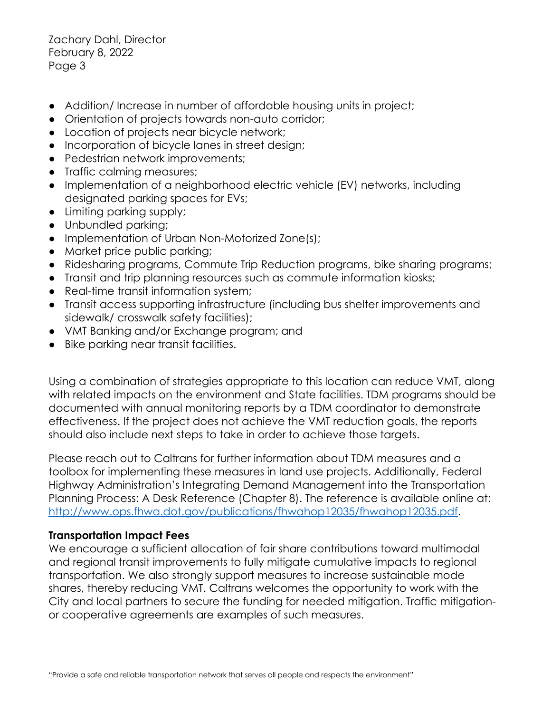- Addition/Increase in number of affordable housing units in project;
- Orientation of projects towards non-auto corridor;
- Location of projects near bicycle network;
- Incorporation of bicycle lanes in street design;
- Pedestrian network improvements;
- Traffic calming measures;
- Implementation of a neighborhood electric vehicle (EV) networks, including designated parking spaces for EVs;
- Limiting parking supply;
- Unbundled parking;
- Implementation of Urban Non-Motorized Zone(s);
- Market price public parking;
- Ridesharing programs, Commute Trip Reduction programs, bike sharing programs;
- Transit and trip planning resources such as commute information kiosks;
- Real-time transit information system;
- Transit access supporting infrastructure (including bus shelter improvements and sidewalk/ crosswalk safety facilities);
- VMT Banking and/or Exchange program; and
- Bike parking near transit facilities.

Using a combination of strategies appropriate to this location can reduce VMT, along with related impacts on the environment and State facilities. TDM programs should be documented with annual monitoring reports by a TDM coordinator to demonstrate effectiveness. If the project does not achieve the VMT reduction goals, the reports should also include next steps to take in order to achieve those targets.

Please reach out to Caltrans for further information about TDM measures and a toolbox for implementing these measures in land use projects. Additionally, Federal Highway Administration's Integrating Demand Management into the Transportation Planning Process: A Desk Reference (Chapter 8). The reference is available online at: http://www.ops.fhwa.dot.gov/publications/fhwahop12035/fhwahop12035.pdf.

#### **Transportation Impact Fees**

We encourage a sufficient allocation of fair share contributions toward multimodal and regional transit improvements to fully mitigate cumulative impacts to regional transportation. We also strongly support measures to increase sustainable mode shares, thereby reducing VMT. Caltrans welcomes the opportunity to work with the City and local partners to secure the funding for needed mitigation. Traffic mitigationor cooperative agreements are examples of such measures.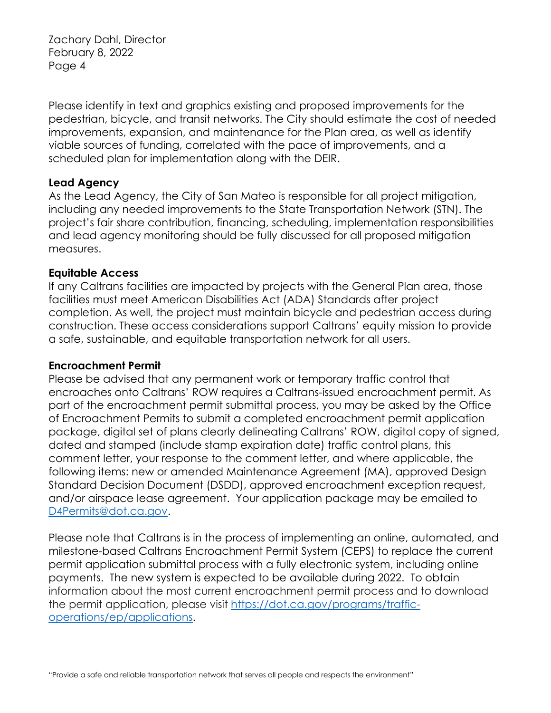Please identify in text and graphics existing and proposed improvements for the pedestrian, bicycle, and transit networks. The City should estimate the cost of needed improvements, expansion, and maintenance for the Plan area, as well as identify viable sources of funding, correlated with the pace of improvements, and a scheduled plan for implementation along with the DEIR.

#### **Lead Agency**

As the Lead Agency, the City of San Mateo is responsible for all project mitigation, including any needed improvements to the State Transportation Network (STN). The project's fair share contribution, financing, scheduling, implementation responsibilities and lead agency monitoring should be fully discussed for all proposed mitigation measures.

#### **Equitable Access**

If any Caltrans facilities are impacted by projects with the General Plan area, those facilities must meet American Disabilities Act (ADA) Standards after project completion. As well, the project must maintain bicycle and pedestrian access during construction. These access considerations support Caltrans' equity mission to provide a safe, sustainable, and equitable transportation network for all users.

#### **Encroachment Permit**

Please be advised that any permanent work or temporary traffic control that encroaches onto Caltrans' ROW requires a Caltrans-issued encroachment permit. As part of the encroachment permit submittal process, you may be asked by the Office of Encroachment Permits to submit a completed encroachment permit application package, digital set of plans clearly delineating Caltrans' ROW, digital copy of signed, dated and stamped (include stamp expiration date) traffic control plans, this comment letter, your response to the comment letter, and where applicable, the following items: new or amended Maintenance Agreement (MA), approved Design Standard Decision Document (DSDD), approved encroachment exception request, and/or airspace lease agreement. Your application package may be emailed to [D4Permits@dot.ca.gov.](mailto:D4Permits@dot.ca.gov)

Please note that Caltrans is in the process of implementing an online, automated, and milestone-based Caltrans Encroachment Permit System (CEPS) to replace the current permit application submittal process with a fully electronic system, including online payments. The new system is expected to be available during 2022. To obtain information about the most current encroachment permit process and to download the permit application, please visit [https://dot.ca.gov/programs/traffic](https://dot.ca.gov/programs/traffic-operations/ep/applications)[operations/ep/applications.](https://dot.ca.gov/programs/traffic-operations/ep/applications)